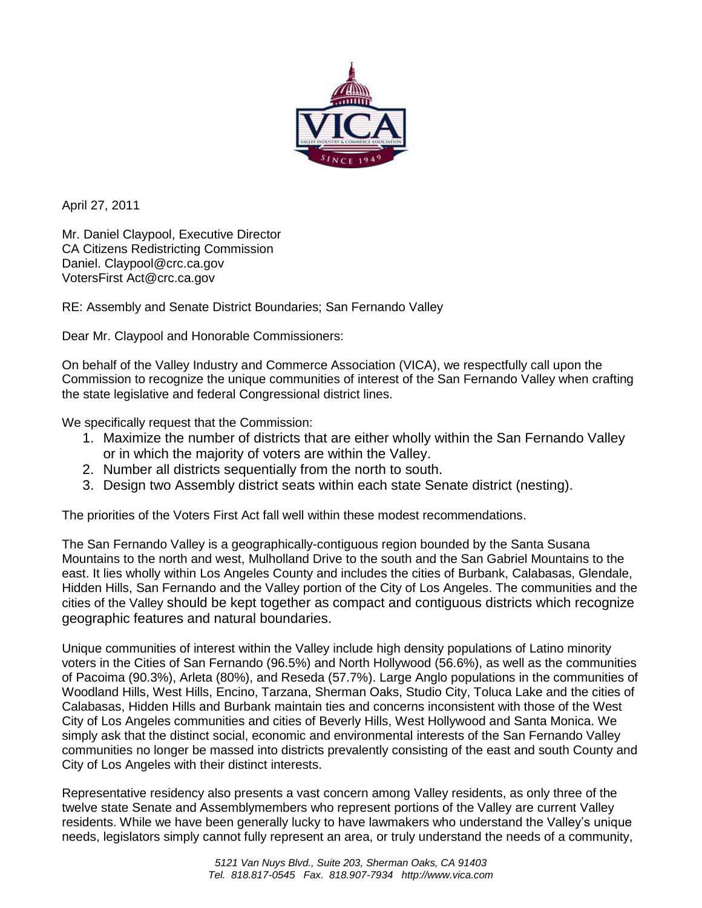

April 27, 2011

 Mr. Daniel Claypool, Executive Director CA Citizens Redistricting Commission<br>Daniel. Claypool@crc.ca.gov<br>VotersFirst Act@crc.ca.gov Daniel. Claypool@crc.ca.gov

RE: Assembly and Senate District Boundaries; San Fernando Valley

Dear Mr. Claypool and Honorable Commissioners:

 On behalf of the Valley Industry and Commerce Association (VICA), we respectfully call upon the Commission to recognize the unique communities of interest of the San Fernando Valley when crafting the state legislative and federal Congressional district lines.

We specifically request that the Commission:

- 1. Maximize the number of districts that are either wholly within the San Fernando Valley or in which the majority of voters are within the Valley.
- 2. Number all districts sequentially from the north to south.
- 3. Design two Assembly district seats within each state Senate district (nesting).

The priorities of the Voters First Act fall well within these modest recommendations.

 The San Fernando Valley is a geographically-contiguous region bounded by the Santa Susana Mountains to the north and west, Mulholland Drive to the south and the San Gabriel Mountains to the east. It lies wholly within Los Angeles County and includes the cities of Burbank, Calabasas, Glendale, Hidden Hills, San Fernando and the Valley portion of the City of Los Angeles. The communities and the cities of the Valley should be kept together as compact and contiguous districts which recognize geographic features and natural boundaries.

 Unique communities of interest within the Valley include high density populations of Latino minority voters in the Cities of San Fernando (96.5%) and North Hollywood (56.6%), as well as the communities of Pacoima (90.3%), Arleta (80%), and Reseda (57.7%). Large Anglo populations in the communities of Woodland Hills, West Hills, Encino, Tarzana, Sherman Oaks, Studio City, Toluca Lake and the cities of Calabasas, Hidden Hills and Burbank maintain ties and concerns inconsistent with those of the West City of Los Angeles communities and cities of Beverly Hills, West Hollywood and Santa Monica. We simply ask that the distinct social, economic and environmental interests of the San Fernando Valley communities no longer be massed into districts prevalently consisting of the east and south County and City of Los Angeles with their distinct interests.

 Representative residency also presents a vast concern among Valley residents, as only three of the twelve state Senate and Assemblymembers who represent portions of the Valley are current Valley residents. While we have been generally lucky to have lawmakers who understand the Valley's unique needs, legislators simply cannot fully represent an area, or truly understand the needs of a community,